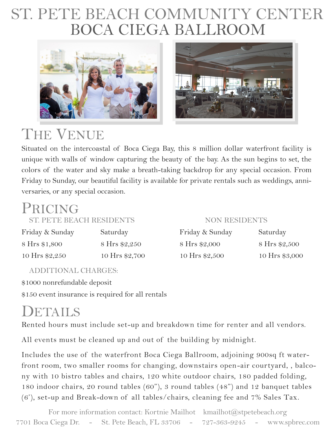## BOCA CIEGA BALLROOM ST. PETE BEACH COMMUNITY CENTER





# THE VENUE

Situated on the intercoastal of Boca Ciega Bay, this 8 million dollar waterfront facility is unique with walls of window capturing the beauty of the bay. As the sun begins to set, the colors of the water and sky make a breath-taking backdrop for any special occasion. From Friday to Sunday, our beautiful facility is available for private rentals such as weddings, anniversaries, or any special occasion.

### PRICING

ST. PETE BEACH RESIDENTS NON RESIDENTS

| Friday & Sunday | Saturday       | Friday & Sunday | Saturday   |
|-----------------|----------------|-----------------|------------|
| 8 Hrs \$1,800   | 8 Hrs \$2,250  | 8 Hrs \$2,000   | 8 Hrs \$2, |
| 10 Hrs \$2,250  | 10 Hrs \$2,700 | 10 Hrs \$2,500  | 10 Hrs \$3 |

### ADDITIONAL CHARGES:

\$1000 nonrefundable deposit

\$150 event insurance is required for all rentals

### DETAILS

Rented hours must include set-up and breakdown time for renter and all vendors.

All events must be cleaned up and out of the building by midnight.

Includes the use of the waterfront Boca Ciega Ballroom, adjoining 900sq ft waterfront room, two smaller rooms for changing, downstairs open-air courtyard, , balcony with 10 bistro tables and chairs, 120 white outdoor chairs, 180 padded folding, 180 indoor chairs, 20 round tables (60"), 3 round tables (48") and 12 banquet tables (6'), set-up and Break-down of all tables/chairs, cleaning fee and 7% Sales Tax.

For more information contact: Kortnie Mailhot kmailhot@stpetebeach.org 7701 Boca Ciega Dr. - St. Pete Beach, FL 33706 - 727-363-9245 - www.spbrec.com

| Friday & Sunday | Saturday       | Friday & Sunday | Saturday       |
|-----------------|----------------|-----------------|----------------|
| 8 Hrs \$1,800   | 8 Hrs \$2,250  | 8 Hrs \$2,000   | 8 Hrs \$2,500  |
| 10 Hrs \$2,250  | 10 Hrs \$2,700 | 10 Hrs \$2,500  | 10 Hrs \$3,000 |